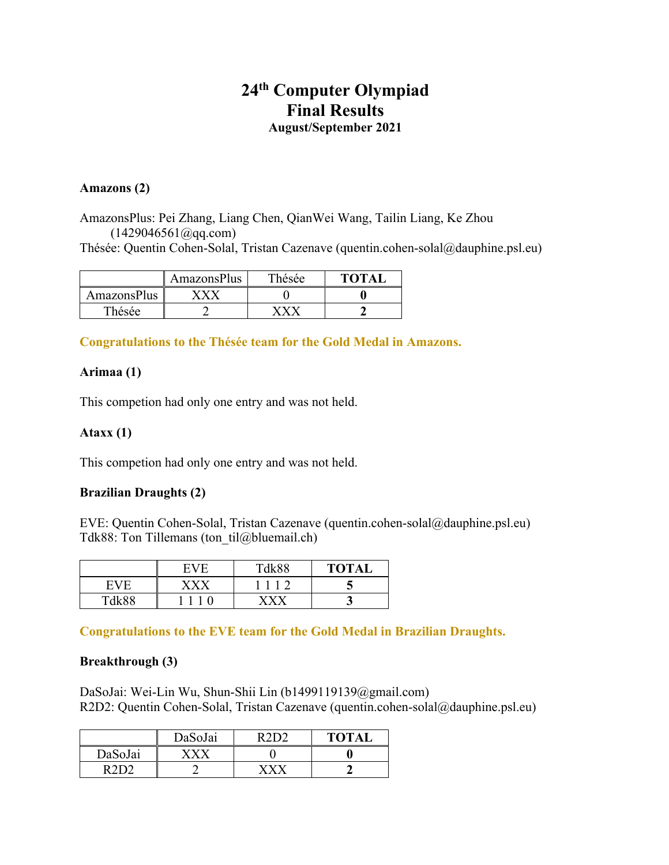# **24th Computer Olympiad Final Results August/September 2021**

#### **Amazons (2)**

AmazonsPlus: Pei Zhang, Liang Chen, QianWei Wang, Tailin Liang, Ke Zhou  $(1429046561@qq.com)$ 

Thésée: Quentin Cohen-Solal, Tristan Cazenave (quentin.cohen-solal@dauphine.psl.eu)

|                    | AmazonsPlus | Thésée | ТОТАІ |
|--------------------|-------------|--------|-------|
| <b>AmazonsPlus</b> |             |        |       |
| 'hésée             |             |        |       |

**Congratulations to the Thésée team for the Gold Medal in Amazons.**

# **Arimaa (1)**

This competion had only one entry and was not held.

## **Ataxx (1)**

This competion had only one entry and was not held.

# **Brazilian Draughts (2)**

EVE: Quentin Cohen-Solal, Tristan Cazenave (quentin.cohen-solal@dauphine.psl.eu) Tdk88: Ton Tillemans (ton til@bluemail.ch)

|                                  | E | <b>TAL88</b> | <b>TOTAI</b> |
|----------------------------------|---|--------------|--------------|
| н                                |   |              |              |
| $T_{\text{d}}$ l <sub>r</sub> 00 |   |              |              |

**Congratulations to the EVE team for the Gold Medal in Brazilian Draughts.**

#### **Breakthrough (3)**

DaSoJai: Wei-Lin Wu, Shun-Shii Lin (b1499119139@gmail.com) R2D2: Quentin Cohen-Solal, Tristan Cazenave (quentin.cohen-solal@dauphine.psl.eu)

|         | DaSoJai | R2D2 | <b>TOTAL</b> |
|---------|---------|------|--------------|
| DaSoJai |         |      |              |
| ^ר∩ מ   |         |      |              |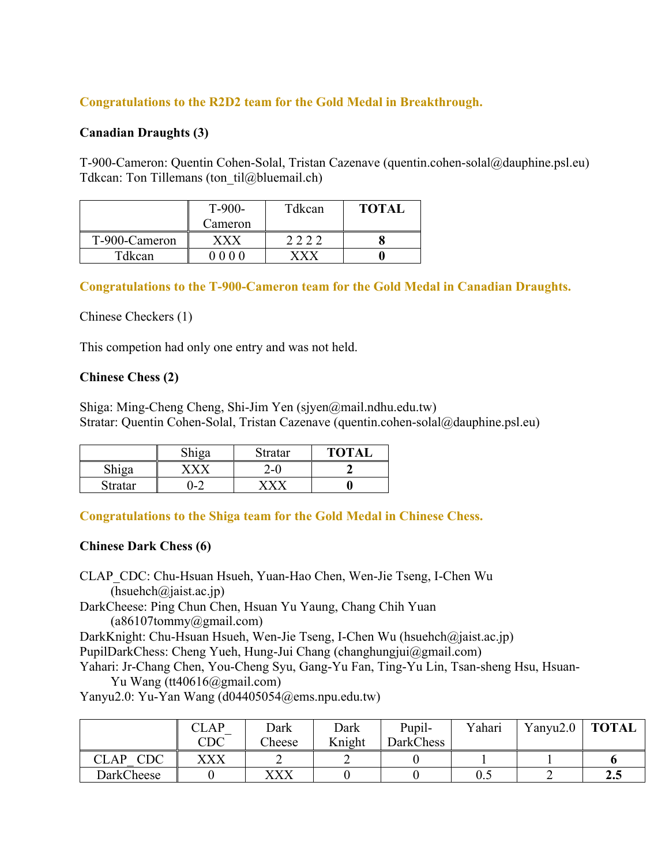# **Congratulations to the R2D2 team for the Gold Medal in Breakthrough.**

## **Canadian Draughts (3)**

T-900-Cameron: Quentin Cohen-Solal, Tristan Cazenave (quentin.cohen-solal@dauphine.psl.eu) Tdkcan: Ton Tillemans (ton til@bluemail.ch)

|               | Tdkcan<br>$T-900-$ |  | <b>TOTAL</b> |
|---------------|--------------------|--|--------------|
|               | Cameron            |  |              |
| T-900-Cameron | x x x              |  |              |
| Tdkcan        | 0 0 0 0            |  |              |

## **Congratulations to the T-900-Cameron team for the Gold Medal in Canadian Draughts.**

#### Chinese Checkers (1)

This competion had only one entry and was not held.

#### **Chinese Chess (2)**

Shiga: Ming-Cheng Cheng, Shi-Jim Yen (sjyen@mail.ndhu.edu.tw) Stratar: Quentin Cohen-Solal, Tristan Cazenave (quentin.cohen-solal@dauphine.psl.eu)

|                | 100 | Stratar | <b>TOTAL</b> |
|----------------|-----|---------|--------------|
|                |     | - 1     |              |
| <b>Stratar</b> | )-2 |         |              |

**Congratulations to the Shiga team for the Gold Medal in Chinese Chess.**

#### **Chinese Dark Chess (6)**

CLAP\_CDC: Chu-Hsuan Hsueh, Yuan-Hao Chen, Wen-Jie Tseng, I-Chen Wu  $(h<sub>suchch</sub>( $\omega$ )<sub>ai</sub>st.ac.jp)$ DarkCheese: Ping Chun Chen, Hsuan Yu Yaung, Chang Chih Yuan (a86107tommy@gmail.com) DarkKnight: Chu-Hsuan Hsueh, Wen-Jie Tseng, I-Chen Wu (hsuehch@jaist.ac.jp) PupilDarkChess: Cheng Yueh, Hung-Jui Chang (changhungjui@gmail.com) Yahari: Jr-Chang Chen, You-Cheng Syu, Gang-Yu Fan, Ting-Yu Lin, Tsan-sheng Hsu, Hsuan-Yu Wang (tt40616@gmail.com) Yanyu2.0: Yu-Yan Wang (d04405054@ems.npu.edu.tw)

|                   | CLAP      | Dark   | Dark   | Pupil-           | Yahari | Yanyu2.0 | <b>TOTAL</b>          |
|-------------------|-----------|--------|--------|------------------|--------|----------|-----------------------|
|                   | $\rm CDC$ | Cheese | Knight | <b>DarkChess</b> |        |          |                       |
| $\rm CDC$<br>CLAP | XXX       | ∽      |        |                  |        |          |                       |
| DarkCheese        |           | XXX    |        |                  | U.J    |          | 2 <sub>1</sub><br>4.J |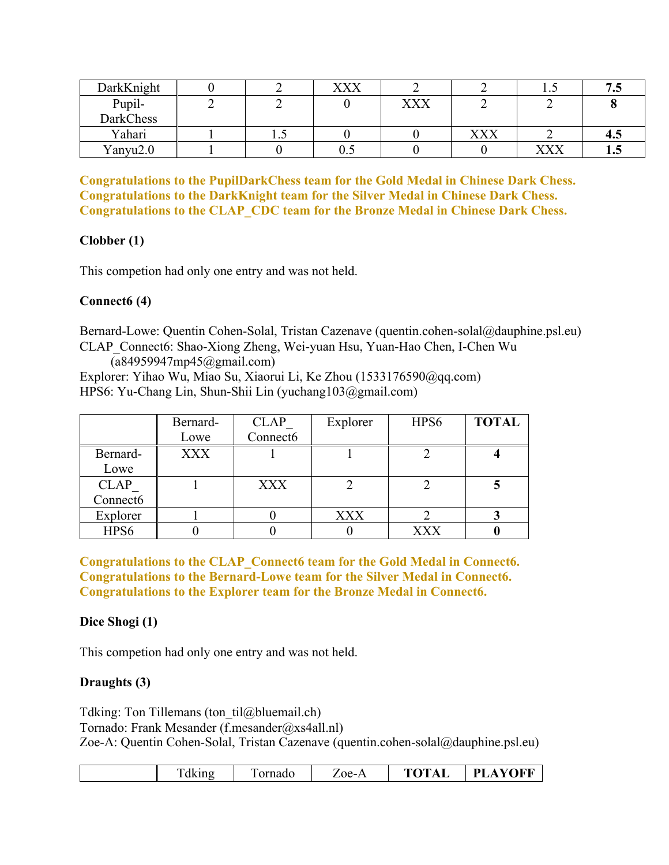| DarkKnight |     | ${\bf v}{\bf v}{\bf v}$ |     |     | ⊥ • J | 71<br>ن ر |
|------------|-----|-------------------------|-----|-----|-------|-----------|
| Pupil-     |     |                         | XXX |     |       |           |
| DarkChess  |     |                         |     |     |       |           |
| Yahari     | 1.J |                         |     | XXX |       | 4.3       |
| Yanyu2.0   |     | ∪.∪                     |     |     | XXX   | 1.J       |

**Congratulations to the PupilDarkChess team for the Gold Medal in Chinese Dark Chess. Congratulations to the DarkKnight team for the Silver Medal in Chinese Dark Chess. Congratulations to the CLAP\_CDC team for the Bronze Medal in Chinese Dark Chess.**

# **Clobber (1)**

This competion had only one entry and was not held.

# **Connect6 (4)**

Bernard-Lowe: Quentin Cohen-Solal, Tristan Cazenave (quentin.cohen-solal@dauphine.psl.eu) CLAP\_Connect6: Shao-Xiong Zheng, Wei-yuan Hsu, Yuan-Hao Chen, I-Chen Wu

(a84959947mp45@gmail.com) Explorer: Yihao Wu, Miao Su, Xiaorui Li, Ke Zhou (1533176590@qq.com) HPS6: Yu-Chang Lin, Shun-Shii Lin (yuchang103@gmail.com)

|                      | Bernard-   | <b>CLAP</b> | Explorer   | HPS <sub>6</sub> | <b>TOTAL</b> |
|----------------------|------------|-------------|------------|------------------|--------------|
|                      | Lowe       | Connect6    |            |                  |              |
| Bernard-             | <b>XXX</b> |             |            |                  |              |
| Lowe                 |            |             |            |                  |              |
| <b>CLAP</b>          |            | <b>XXX</b>  |            |                  |              |
| Connect <sub>6</sub> |            |             |            |                  |              |
| Explorer             |            |             | <b>XXX</b> |                  |              |
| HPS6                 |            |             |            | <b>XXX</b>       |              |

**Congratulations to the CLAP\_Connect6 team for the Gold Medal in Connect6. Congratulations to the Bernard-Lowe team for the Silver Medal in Connect6. Congratulations to the Explorer team for the Bronze Medal in Connect6.**

# **Dice Shogi (1)**

This competion had only one entry and was not held.

# **Draughts (3)**

Tdking: Ton Tillemans (ton til@bluemail.ch) Tornado: Frank Mesander (f.mesander@xs4all.nl) Zoe-A: Quentin Cohen-Solal, Tristan Cazenave (quentin.cohen-solal@dauphine.psl.eu)

| kino<br>1К | ornado | $\cap$ e- $\cdot$ | $\sqrt{2}$<br>т.<br>$\sim$<br>$\overline{ }$ | OFF<br>DТ<br>$\mathcal{L}$ |
|------------|--------|-------------------|----------------------------------------------|----------------------------|
|            |        |                   |                                              |                            |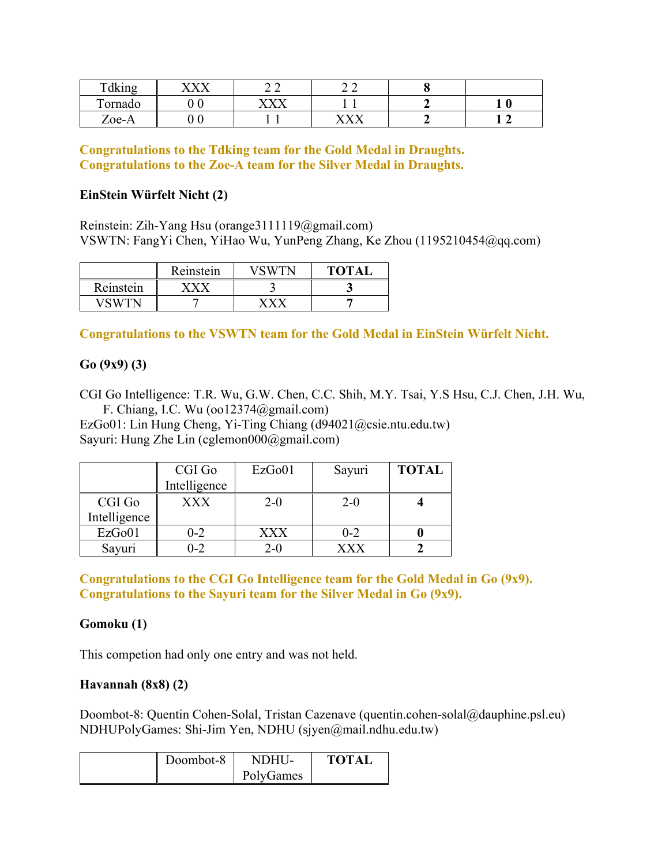| $T = 11.2$<br>Fdking              | $\mathbf{X} \mathcal{T} \mathbf{X} \mathcal{T}$ |               | <b>^^</b><br>_ _                   |   |
|-----------------------------------|-------------------------------------------------|---------------|------------------------------------|---|
| Ē<br>ornado                       |                                                 | <b>VALVAL</b> |                                    | 0 |
| $\overline{\phantom{0}}$<br>Zoe-A |                                                 |               | $\mathbf{V} \mathbf{V} \mathbf{V}$ |   |

**Congratulations to the Tdking team for the Gold Medal in Draughts. Congratulations to the Zoe-A team for the Silver Medal in Draughts.**

## **EinStein Würfelt Nicht (2)**

Reinstein: Zih-Yang Hsu (orange3111119@gmail.com) VSWTN: FangYi Chen, YiHao Wu, YunPeng Zhang, Ke Zhou (1195210454@qq.com)

|           | Reinstein |   | TOTA. |
|-----------|-----------|---|-------|
| Reinstein |           | ت |       |
|           |           |   |       |

# **Congratulations to the VSWTN team for the Gold Medal in EinStein Würfelt Nicht.**

# **Go (9x9) (3)**

CGI Go Intelligence: T.R. Wu, G.W. Chen, C.C. Shih, M.Y. Tsai, Y.S Hsu, C.J. Chen, J.H. Wu, F. Chiang, I.C. Wu (oo12374@gmail.com)

EzGo01: Lin Hung Cheng, Yi-Ting Chiang (d94021@csie.ntu.edu.tw) Sayuri: Hung Zhe Lin (cglemon000@gmail.com)

|              | CGI Go       | EzGo01 | Sayuri     | <b>TOTAL</b> |
|--------------|--------------|--------|------------|--------------|
|              | Intelligence |        |            |              |
| CGI Go       | <b>XXX</b>   | 2-0    | $2 - 0$    |              |
| Intelligence |              |        |            |              |
| EzGo01       | $0 - 2$      | XXX    | $0 - 2$    |              |
| Sayuri       | $0 - 2$      | $2-0$  | <b>YYY</b> |              |

**Congratulations to the CGI Go Intelligence team for the Gold Medal in Go (9x9). Congratulations to the Sayuri team for the Silver Medal in Go (9x9).**

# **Gomoku (1)**

This competion had only one entry and was not held.

# **Havannah (8x8) (2)**

Doombot-8: Quentin Cohen-Solal, Tristan Cazenave (quentin.cohen-solal@dauphine.psl.eu) NDHUPolyGames: Shi-Jim Yen, NDHU (sjyen@mail.ndhu.edu.tw)

| Doombot-8 | NDHU-     | <b>TOTAL</b> |
|-----------|-----------|--------------|
|           | PolyGames |              |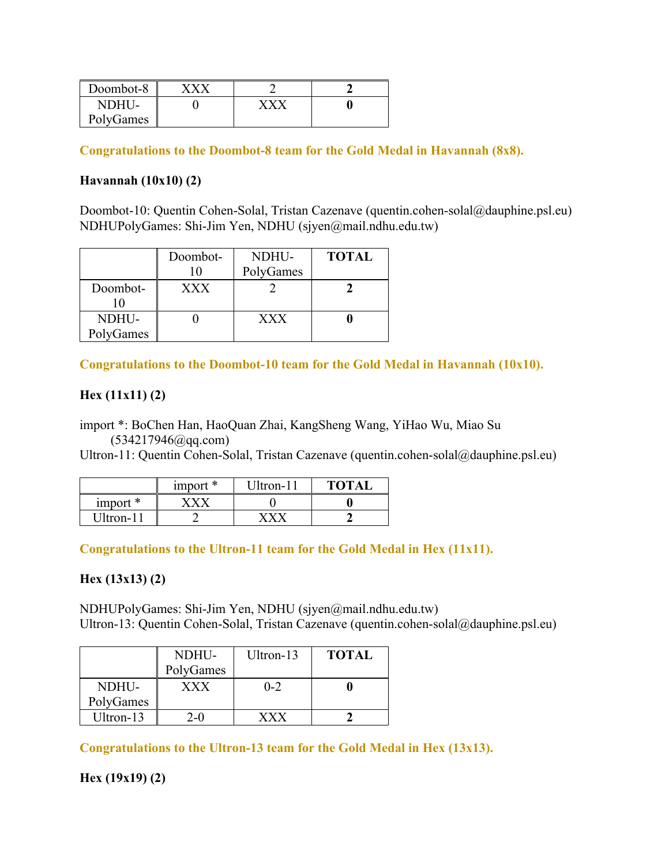| Doombot-8 |  |  |
|-----------|--|--|
| NDHU-     |  |  |
| PolyGames |  |  |

**Congratulations to the Doombot-8 team for the Gold Medal in Havannah (8x8).**

# **Havannah (10x10) (2)**

Doombot-10: Quentin Cohen-Solal, Tristan Cazenave (quentin.cohen-solal@dauphine.psl.eu) NDHUPolyGames: Shi-Jim Yen, NDHU (sjyen@mail.ndhu.edu.tw)

|                    | Doombot-<br>10 | NDHU-<br>PolyGames | <b>TOTAL</b> |
|--------------------|----------------|--------------------|--------------|
| Doombot-           | <b>XXX</b>     |                    |              |
| NDHU-<br>PolyGames |                | XXX                |              |

**Congratulations to the Doombot-10 team for the Gold Medal in Havannah (10x10).**

# **Hex (11x11) (2)**

import \*: BoChen Han, HaoQuan Zhai, KangSheng Wang, YiHao Wu, Miao Su  $(534217946@qq.com)$ 

Ultron-11: Quentin Cohen-Solal, Tristan Cazenave (quentin.cohen-solal@dauphine.psl.eu)

|           | import $*$ | Jltron-11 | <b>TOTAI</b> |
|-----------|------------|-----------|--------------|
| $import*$ |            |           |              |
| Ultron-11 |            |           |              |

**Congratulations to the Ultron-11 team for the Gold Medal in Hex (11x11).**

# **Hex (13x13) (2)**

NDHUPolyGames: Shi-Jim Yen, NDHU (sjyen@mail.ndhu.edu.tw) Ultron-13: Quentin Cohen-Solal, Tristan Cazenave (quentin.cohen-solal@dauphine.psl.eu)

|           | NDHU-                   | Ultron-13 | <b>TOTAL</b> |  |
|-----------|-------------------------|-----------|--------------|--|
|           | PolyGames               |           |              |  |
| NDHU-     | ${\bf X}{\bf X}{\bf X}$ | $0 - 2$   |              |  |
| PolyGames |                         |           |              |  |
| Ultron-13 | $2-0$                   |           |              |  |

**Congratulations to the Ultron-13 team for the Gold Medal in Hex (13x13).**

**Hex (19x19) (2)**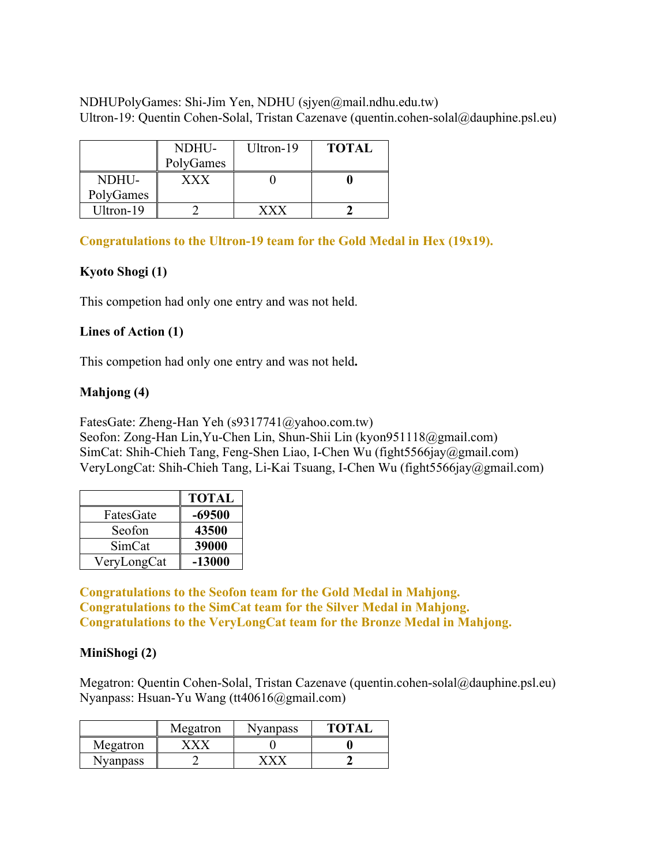NDHUPolyGames: Shi-Jim Yen, NDHU (sjyen@mail.ndhu.edu.tw) Ultron-19: Quentin Cohen-Solal, Tristan Cazenave (quentin.cohen-solal@dauphine.psl.eu)

|           | NDHU-     | Ultron-19 | <b>TOTAL</b> |  |
|-----------|-----------|-----------|--------------|--|
|           | PolyGames |           |              |  |
| NDHU-     | xxx       |           |              |  |
| PolyGames |           |           |              |  |
| Ultron-19 |           |           |              |  |

## **Congratulations to the Ultron-19 team for the Gold Medal in Hex (19x19).**

## **Kyoto Shogi (1)**

This competion had only one entry and was not held.

#### **Lines of Action (1)**

This competion had only one entry and was not held**.**

#### **Mahjong (4)**

FatesGate: Zheng-Han Yeh (s9317741@yahoo.com.tw)

Seofon: Zong-Han Lin,Yu-Chen Lin, Shun-Shii Lin (kyon951118@gmail.com) SimCat: Shih-Chieh Tang, Feng-Shen Liao, I-Chen Wu (fight5566jay@gmail.com) VeryLongCat: Shih-Chieh Tang, Li-Kai Tsuang, I-Chen Wu (fight5566jay@gmail.com)

|             | TOTAL    |
|-------------|----------|
| FatesGate   | $-69500$ |
| Seofon      | 43500    |
| SimCat      | 39000    |
| VeryLongCat | $-13000$ |

**Congratulations to the Seofon team for the Gold Medal in Mahjong. Congratulations to the SimCat team for the Silver Medal in Mahjong. Congratulations to the VeryLongCat team for the Bronze Medal in Mahjong.**

#### **MiniShogi (2)**

Megatron: Quentin Cohen-Solal, Tristan Cazenave (quentin.cohen-solal@dauphine.psl.eu) Nyanpass: Hsuan-Yu Wang (tt40616@gmail.com)

|          | Megatron | Nyanpass | <b>TOTA</b> |
|----------|----------|----------|-------------|
| Megatron |          |          |             |
| Nyanpass |          |          |             |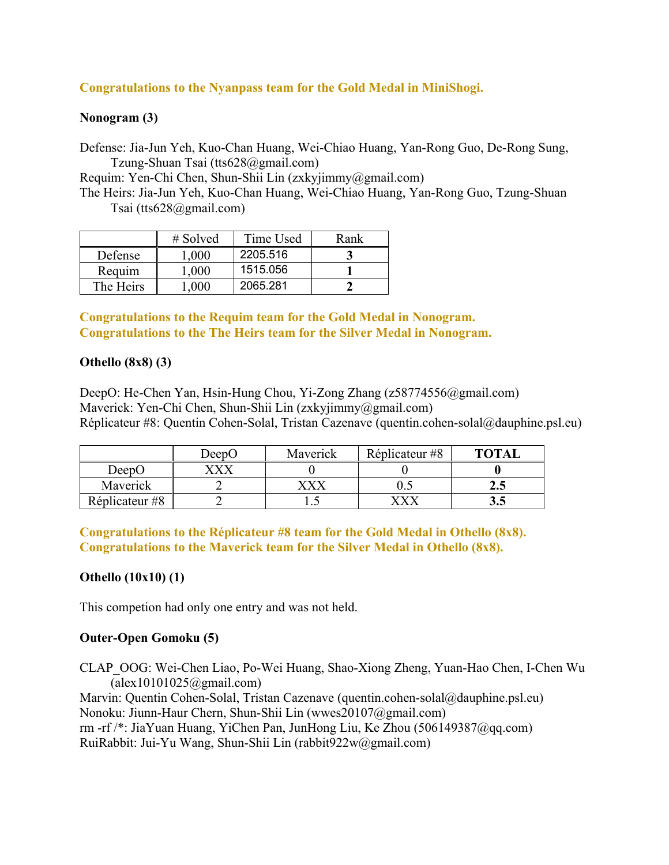# **Congratulations to the Nyanpass team for the Gold Medal in MiniShogi.**

## **Nonogram (3)**

Defense: Jia-Jun Yeh, Kuo-Chan Huang, Wei-Chiao Huang, Yan-Rong Guo, De-Rong Sung, Tzung-Shuan Tsai (tts628@gmail.com)

Requim: Yen-Chi Chen, Shun-Shii Lin (zxkyjimmy@gmail.com)

The Heirs: Jia-Jun Yeh, Kuo-Chan Huang, Wei-Chiao Huang, Yan-Rong Guo, Tzung-Shuan Tsai (tts628@gmail.com)

|           | $\#$ Solved | Time Used | Rank |
|-----------|-------------|-----------|------|
| Defense   | 1.000       | 2205.516  |      |
| Requim    | 1.000       | 1515.056  |      |
| The Heirs | 000.1       | 2065.281  |      |

**Congratulations to the Requim team for the Gold Medal in Nonogram. Congratulations to the The Heirs team for the Silver Medal in Nonogram.**

## **Othello (8x8) (3)**

DeepO: He-Chen Yan, Hsin-Hung Chou, Yi-Zong Zhang (z58774556@gmail.com) Maverick: Yen-Chi Chen, Shun-Shii Lin (zxkyjimmy@gmail.com) Réplicateur #8: Quentin Cohen-Solal, Tristan Cazenave (quentin.cohen-solal@dauphine.psl.eu)

|                | DeepO | Maverick | Réplicateur #8 | <b>TOTAL</b> |
|----------------|-------|----------|----------------|--------------|
| DeepO          |       |          |                |              |
| Maverick       |       |          | ∪.∟            | (. .         |
| Réplicateur #8 |       |          |                | ご・           |

**Congratulations to the Réplicateur #8 team for the Gold Medal in Othello (8x8). Congratulations to the Maverick team for the Silver Medal in Othello (8x8).**

# **Othello (10x10) (1)**

This competion had only one entry and was not held.

# **Outer-Open Gomoku (5)**

CLAP\_OOG: Wei-Chen Liao, Po-Wei Huang, Shao-Xiong Zheng, Yuan-Hao Chen, I-Chen Wu  $(alex10101025@gmail.com)$ 

Marvin: Quentin Cohen-Solal, Tristan Cazenave (quentin.cohen-solal@dauphine.psl.eu) Nonoku: Jiunn-Haur Chern, Shun-Shii Lin (wwes20107@gmail.com) rm -rf /\*: JiaYuan Huang, YiChen Pan, JunHong Liu, Ke Zhou (506149387@qq.com) RuiRabbit: Jui-Yu Wang, Shun-Shii Lin (rabbit922w@gmail.com)